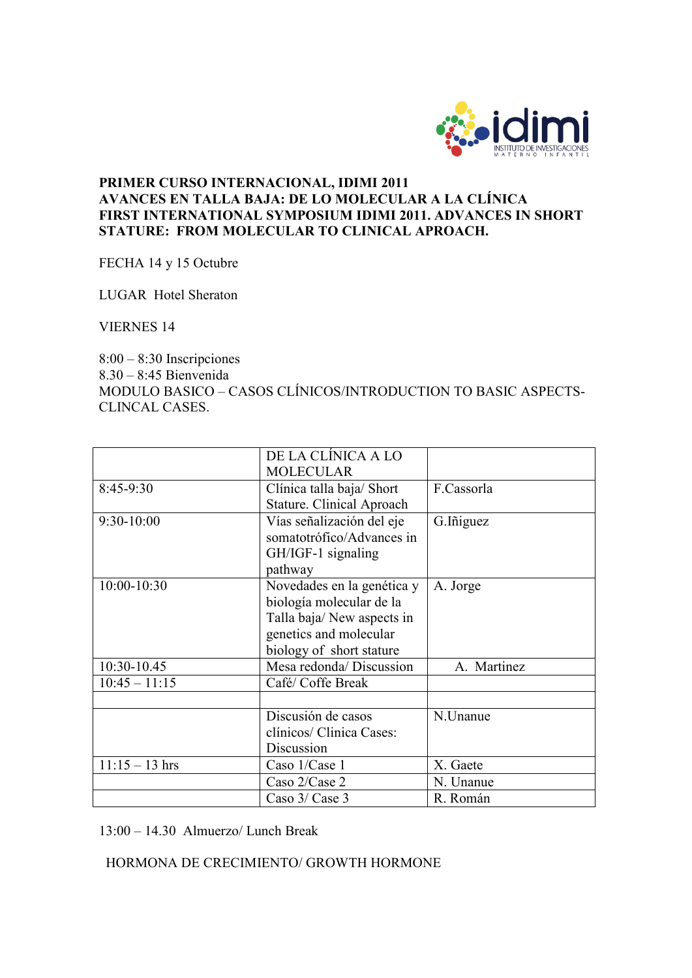

## **PRIMER CURSO INTERNACIONAL, IDIMI 2011 AVANCES EN TALLA BAJA: DE LO MOLECULAR A LA CLÍNICA FIRST INTERNATIONAL SYMPOSIUM IDIMI 2011. ADVANCES IN SHORT STATURE: FROM MOLECULAR TO CLINICAL APROACH.**

FECHA 14 y 15 Octubre

LUGAR Hotel Sheraton

VIERNES 14

8:00 – 8:30 Inscripciones 8.30 – 8:45 Bienvenida MODULO BASICO – CASOS CLÍNICOS/INTRODUCTION TO BASIC ASPECTS-CLINCAL CASES.

|                  | DE LA CLÍNICA A LO               |             |
|------------------|----------------------------------|-------------|
|                  | <b>MOLECULAR</b>                 |             |
| $8:45-9:30$      | Clínica talla baja/ Short        | F.Cassorla  |
|                  | <b>Stature.</b> Clinical Aproach |             |
| $9:30-10:00$     | Vías señalización del eje        | G.Iñiguez   |
|                  | somatotrófico/Advances in        |             |
|                  | GH/IGF-1 signaling               |             |
|                  | pathway                          |             |
| 10:00-10:30      | Novedades en la genética y       | A. Jorge    |
|                  | biología molecular de la         |             |
|                  | Talla baja/New aspects in        |             |
|                  | genetics and molecular           |             |
|                  | biology of short stature         |             |
| 10:30-10.45      | Mesa redonda/ Discussion         | A. Martinez |
| $10:45 - 11:15$  | Café/ Coffe Break                |             |
|                  |                                  |             |
|                  | Discusión de casos               | N.Unanue    |
|                  | clínicos/ Clinica Cases:         |             |
|                  | Discussion                       |             |
| $11:15 - 13$ hrs | Caso 1/Case 1                    | X. Gaete    |
|                  | Caso 2/Case 2                    | N. Unanue   |
|                  | Caso 3/ Case 3                   | R. Román    |

13:00 – 14.30 Almuerzo/ Lunch Break

HORMONA DE CRECIMIENTO/ GROWTH HORMONE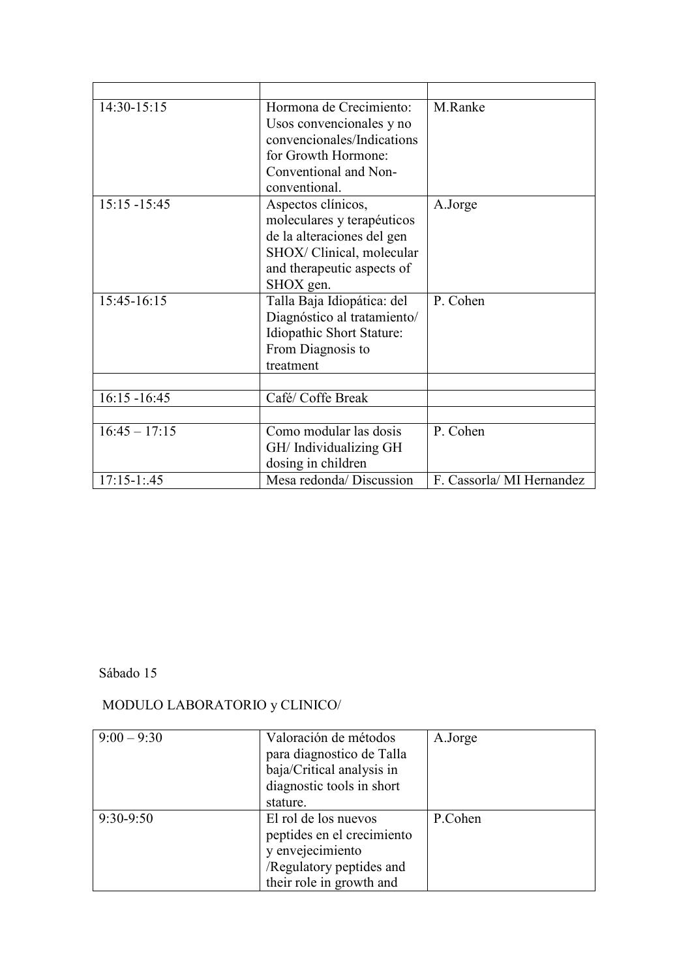| 14:30-15:15     | Hormona de Crecimiento:<br>Usos convencionales y no<br>convencionales/Indications<br>for Growth Hormone:<br>Conventional and Non-<br>conventional.     | M.Ranke                   |
|-----------------|--------------------------------------------------------------------------------------------------------------------------------------------------------|---------------------------|
| $15:15 - 15:45$ | Aspectos clínicos,<br>moleculares y terapéuticos<br>de la alteraciones del gen<br>SHOX/ Clinical, molecular<br>and therapeutic aspects of<br>SHOX gen. | A.Jorge                   |
| 15:45-16:15     | Talla Baja Idiopática: del<br>Diagnóstico al tratamiento/<br>Idiopathic Short Stature:<br>From Diagnosis to<br>treatment                               | P. Cohen                  |
| $16:15 - 16:45$ | Café/ Coffe Break                                                                                                                                      |                           |
|                 |                                                                                                                                                        |                           |
| $16:45 - 17:15$ | Como modular las dosis<br>GH/ Individualizing GH<br>dosing in children                                                                                 | P. Cohen                  |
| $17:15-1:45$    | Mesa redonda/ Discussion                                                                                                                               | F. Cassorla/ MI Hernandez |

Sábado 15

## MODULO LABORATORIO y CLINICO/

| $9:00 - 9:30$ | Valoración de métodos<br>para diagnostico de Talla<br>baja/Critical analysis in<br>diagnostic tools in short<br>stature.       | A.Jorge |
|---------------|--------------------------------------------------------------------------------------------------------------------------------|---------|
| $9:30-9:50$   | El rol de los nuevos<br>peptides en el crecimiento<br>y envejecimiento<br>/Regulatory peptides and<br>their role in growth and | P.Cohen |